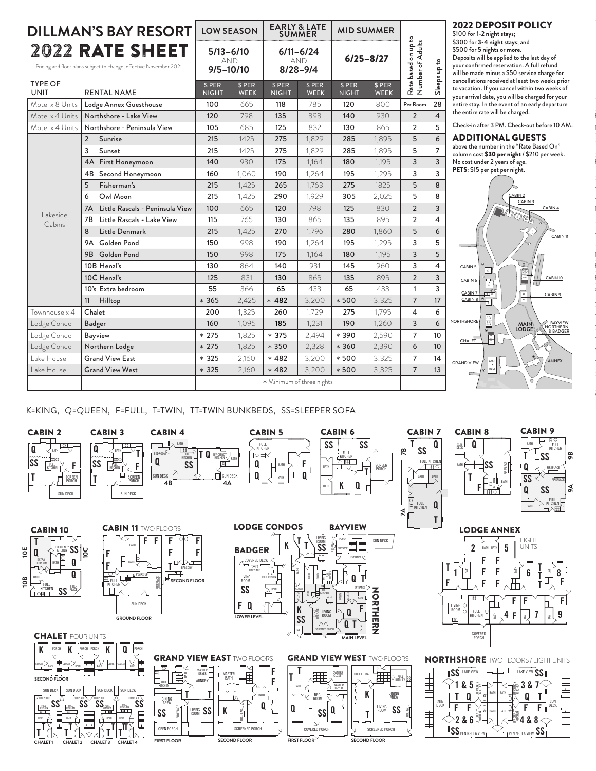| <b>DILLMAN'S BAY RESORT</b>                                                            |                                          | <b>LOW SEASON</b>                     |                       | <b>EARLY &amp; LATE</b><br><b>SUMMER</b>    |                           | <b>MID SUMMER</b>      |                       |                                             |                                                 | <b>2022 DEPOSIT POLICY</b><br>\$100 for 1-2 night stays;                                                                                                                                                  |  |
|----------------------------------------------------------------------------------------|------------------------------------------|---------------------------------------|-----------------------|---------------------------------------------|---------------------------|------------------------|-----------------------|---------------------------------------------|-------------------------------------------------|-----------------------------------------------------------------------------------------------------------------------------------------------------------------------------------------------------------|--|
| 2022 RATE SHEET<br>Pricing and floor plans subject to change, effective November 2021. |                                          | $5/13 - 6/10$<br>AND<br>$9/5 - 10/10$ |                       | $6/11 - 6/24$<br><b>AND</b><br>$8/28 - 9/4$ |                           | $6/25 - 8/27$          |                       | on up to<br>Adults<br>ᡃᡃᢆᢆᢆ<br>based<br>ber | $\mathtt{S}$<br>$\frac{\mathsf{p}}{\mathsf{p}}$ | \$300 for 3-4 night stays; and<br>\$500 for 5 nights or more.<br>Deposits will be applied to the last day of<br>your confirmed reservation. A full refund<br>will be made minus a \$50 service charge for |  |
| <b>TYPE OF</b><br><b>UNIT</b>                                                          | <b>RENTAL NAME</b>                       | \$ PER<br><b>NIGHT</b>                | \$ PER<br><b>WEEK</b> | \$ PER<br><b>NIGHT</b>                      | \$ PER<br><b>WEEK</b>     | \$ PER<br><b>NIGHT</b> | \$ PER<br><b>WEEK</b> | Rate I<br>Numl                              | Sleeps                                          | cancellations received at least two weeks prior<br>to vacation. If you cancel within two weeks of<br>your arrival date, you will be charged for your                                                      |  |
| Motel x 8 Units                                                                        | Lodge Annex Guesthouse                   | 100                                   | 665                   | 118                                         | 785                       | 120                    | 800                   | Per Room                                    | 28                                              | entire stay. In the event of an early departure                                                                                                                                                           |  |
|                                                                                        | Motel x 4 Units   Northshore - Lake View | 120                                   | 798                   | 135                                         | 898                       | 140                    | 930                   | $\overline{2}$                              | $\overline{4}$                                  | the entire rate will be charged.                                                                                                                                                                          |  |
| Motel x 4 Units                                                                        | Northshore - Peninsula View              | 105                                   | 685                   | 125                                         | 832                       | 130                    | 865                   | $\overline{2}$                              | 5                                               | Check-in after 3 PM. Check-out before 10 AM.                                                                                                                                                              |  |
| Lakeside<br>Cabins                                                                     | 2<br>Sunrise                             | 215                                   | 1425                  | 275                                         | 1,829                     | 285                    | 1,895                 | 5                                           | 6                                               | <b>ADDITIONAL GUESTS</b>                                                                                                                                                                                  |  |
|                                                                                        | 3<br>Sunset                              | 215                                   | 1425                  | 275                                         | 1,829                     | 285                    | 1,895                 | 5                                           | $\overline{7}$                                  | above the number in the "Rate Based On"<br>column cost \$30 per night / \$210 per week.                                                                                                                   |  |
|                                                                                        | 4A First Honeymoon                       | 140                                   | 930                   | 175                                         | 1,164                     | 180                    | 1,195                 | 3                                           | 3                                               | No cost under 2 years of age.                                                                                                                                                                             |  |
|                                                                                        | 4B Second Honeymoon                      | 160                                   | 1,060                 | 190                                         | 1,264                     | 195                    | 1,295                 | 3                                           | $\overline{3}$                                  | PETS: \$15 per pet per night.                                                                                                                                                                             |  |
|                                                                                        | Fisherman's<br>5                         | 215                                   | 1,425                 | 265                                         | 1,763                     | 275                    | 1825                  | 5                                           | 8                                               |                                                                                                                                                                                                           |  |
|                                                                                        | Owl Moon<br>6                            | 215                                   | 1,425                 | 290                                         | 1,929                     | 305                    | 2,025                 | 5                                           | 8                                               | CABIN <sub>2</sub><br>CABIN <sub>3</sub>                                                                                                                                                                  |  |
|                                                                                        | 7A Little Rascals - Peninsula View       | 100                                   | 665                   | 120                                         | 798                       | 125                    | 830                   | $\overline{2}$                              | 3                                               | CABIN 4<br><b>INTERNATIONAL PROPERTY</b>                                                                                                                                                                  |  |
|                                                                                        | Little Rascals - Lake View<br>7B         | 115                                   | 765                   | 130                                         | 865                       | 135                    | 895                   | $\overline{2}$                              | 4                                               |                                                                                                                                                                                                           |  |
|                                                                                        | Little Denmark<br>8                      | 215                                   | 1,425                 | 270                                         | 1,796                     | 280                    | 1,860                 | 5                                           | 6                                               | CABIN <sub>11</sub>                                                                                                                                                                                       |  |
|                                                                                        | Golden Pond<br>9A                        | 150                                   | 998                   | 190                                         | 1,264                     | 195                    | 1,295                 | 3                                           | 5                                               |                                                                                                                                                                                                           |  |
|                                                                                        | 9B Golden Pond                           | 150                                   | 998                   | 175                                         | 1,164                     | 180                    | 1,195                 | $\overline{3}$                              | 5                                               |                                                                                                                                                                                                           |  |
|                                                                                        | 10B Henzl's                              | 130                                   | 864                   | 140                                         | 931                       | 145                    | 960                   | 3                                           | $\overline{4}$                                  | $\circ$<br>CABIN 5<br>玉                                                                                                                                                                                   |  |
|                                                                                        | 10C Henzl's                              | 125                                   | 831                   | 130                                         | 865                       | 135                    | 895                   | $\overline{2}$                              | 3                                               | ē,<br>CABIN 10<br>CABIN 6<br>Ħ                                                                                                                                                                            |  |
|                                                                                        | 10's Extra bedroom                       | 55                                    | 366                   | 65                                          | 433                       | 65                     | 433                   | $\overline{1}$                              | 3                                               | $\begin{array}{ c c }\hline \text{ } & \text{ } \\ \hline \text{ } & \text{ } \\ \hline \text{ } & \text{ } \\ \hline \end{array}$<br>$\frac{0}{2}$<br>CABIN 7<br>CABIN 9                                 |  |
|                                                                                        | 11 Hilltop                               | $*365$                                | 2,425                 | $* 482$                                     | 3,200                     | $*500$                 | 3,325                 | $\overline{7}$                              | 17                                              | $CABINB \circ \frac{1}{1}$                                                                                                                                                                                |  |
| Townhouse x 4                                                                          | Chalet                                   | 200                                   | 1,325                 | 260                                         | 1.729                     | 275                    | 1.795                 | 4                                           | 6                                               |                                                                                                                                                                                                           |  |
| Lodge Condo                                                                            | Badger                                   | 160                                   | 1,095                 | 185                                         | 1,231                     | 190                    | 1,260                 | 3                                           | 6                                               | $\frac{1}{2}$<br><b>NORTHSHORE</b><br>BAYVIEW,<br><b>MAIN</b><br>LODGE <sup>1</sup><br>& BADGER                                                                                                           |  |
| Lodge Condo                                                                            | <b>Bayview</b>                           | $* 275$                               | 1,825                 | $* 375$                                     | 2,494                     | $*390$                 | 2,590                 | $\overline{7}$                              | 10                                              | F<br>CHALET                                                                                                                                                                                               |  |
| Lodge Condo                                                                            | Northern Lodge                           | $* 275$                               | 1,825                 | $*350$                                      | 2,328                     | $*360$                 | 2,390                 | 6                                           | 10                                              |                                                                                                                                                                                                           |  |
| Lake House                                                                             | <b>Grand View East</b>                   | $*325$                                | 2,160                 | $*482$                                      | 3,200                     | $*500$                 | 3,325                 | $\overline{7}$                              | 14                                              | ANNEX<br>EAST<br><b>GRAND VIEW</b>                                                                                                                                                                        |  |
| Lake House                                                                             | <b>Grand View West</b>                   | $*325$                                | 2,160                 | $*482$                                      | 3,200                     | $*500$                 | 3,325                 | $\overline{7}$                              | 13                                              | <b>WEST</b>                                                                                                                                                                                               |  |
|                                                                                        |                                          |                                       |                       |                                             | * Minimum of three nights |                        |                       |                                             |                                                 | $\Omega$                                                                                                                                                                                                  |  |
|                                                                                        |                                          |                                       |                       |                                             |                           |                        |                       |                                             |                                                 |                                                                                                                                                                                                           |  |



K=KING, Q=QUEEN, F=FULL, T=TWIN, TT=TWIN BUNKBEDS, SS=SLEEPER SOFA